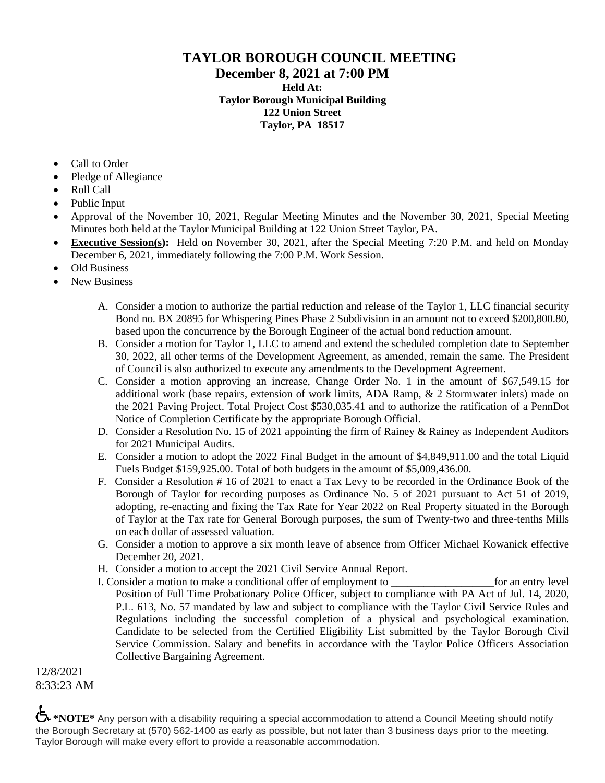## **TAYLOR BOROUGH COUNCIL MEETING December 8, 2021 at 7:00 PM Held At: Taylor Borough Municipal Building 122 Union Street Taylor, PA 18517**

- Call to Order
- Pledge of Allegiance
- Roll Call
- Public Input
- Approval of the November 10, 2021, Regular Meeting Minutes and the November 30, 2021, Special Meeting Minutes both held at the Taylor Municipal Building at 122 Union Street Taylor, PA.
- **Executive Session(s):** Held on November 30, 2021, after the Special Meeting 7:20 P.M. and held on Monday December 6, 2021, immediately following the 7:00 P.M. Work Session.
- Old Business
- New Business
	- A. Consider a motion to authorize the partial reduction and release of the Taylor 1, LLC financial security Bond no. BX 20895 for Whispering Pines Phase 2 Subdivision in an amount not to exceed \$200,800.80, based upon the concurrence by the Borough Engineer of the actual bond reduction amount.
	- B. Consider a motion for Taylor 1, LLC to amend and extend the scheduled completion date to September 30, 2022, all other terms of the Development Agreement, as amended, remain the same. The President of Council is also authorized to execute any amendments to the Development Agreement.
	- C. Consider a motion approving an increase, Change Order No. 1 in the amount of \$67,549.15 for additional work (base repairs, extension of work limits, ADA Ramp, & 2 Stormwater inlets) made on the 2021 Paving Project. Total Project Cost \$530,035.41 and to authorize the ratification of a PennDot Notice of Completion Certificate by the appropriate Borough Official.
	- D. Consider a Resolution No. 15 of 2021 appointing the firm of Rainey & Rainey as Independent Auditors for 2021 Municipal Audits.
	- E. Consider a motion to adopt the 2022 Final Budget in the amount of \$4,849,911.00 and the total Liquid Fuels Budget \$159,925.00. Total of both budgets in the amount of \$5,009,436.00.
	- F. Consider a Resolution # 16 of 2021 to enact a Tax Levy to be recorded in the Ordinance Book of the Borough of Taylor for recording purposes as Ordinance No. 5 of 2021 pursuant to Act 51 of 2019, adopting, re-enacting and fixing the Tax Rate for Year 2022 on Real Property situated in the Borough of Taylor at the Tax rate for General Borough purposes, the sum of Twenty-two and three-tenths Mills on each dollar of assessed valuation.
	- G. Consider a motion to approve a six month leave of absence from Officer Michael Kowanick effective December 20, 2021.
	- H. Consider a motion to accept the 2021 Civil Service Annual Report.
	- I. Consider a motion to make a conditional offer of employment to  $\qquad \qquad$  for an entry level Position of Full Time Probationary Police Officer, subject to compliance with PA Act of Jul. 14, 2020, P.L. 613, No. 57 mandated by law and subject to compliance with the Taylor Civil Service Rules and Regulations including the successful completion of a physical and psychological examination. Candidate to be selected from the Certified Eligibility List submitted by the Taylor Borough Civil Service Commission. Salary and benefits in accordance with the Taylor Police Officers Association Collective Bargaining Agreement.

12/8/2021 8:33:23 AM

 $\biguplus$  **\*NOTE\*** Any person with a disability requiring a special accommodation to attend a Council Meeting should notify the Borough Secretary at (570) 562-1400 as early as possible, but not later than 3 business days prior to the meeting. Taylor Borough will make every effort to provide a reasonable accommodation.